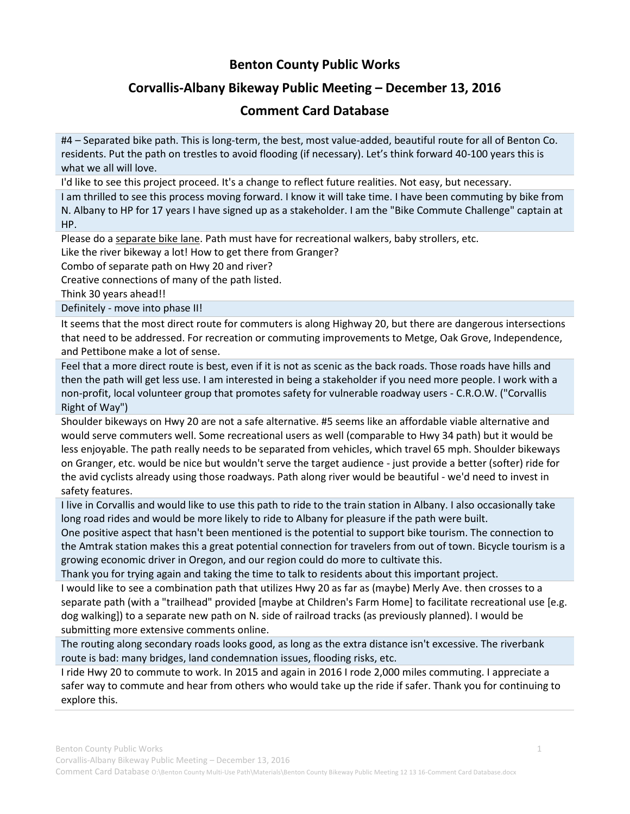## **Benton County Public Works**

## **Corvallis-Albany Bikeway Public Meeting – December 13, 2016**

## **Comment Card Database**

#4 – Separated bike path. This is long-term, the best, most value-added, beautiful route for all of Benton Co. residents. Put the path on trestles to avoid flooding (if necessary). Let's think forward 40-100 years this is what we all will love.

I'd like to see this project proceed. It's a change to reflect future realities. Not easy, but necessary.

I am thrilled to see this process moving forward. I know it will take time. I have been commuting by bike from N. Albany to HP for 17 years I have signed up as a stakeholder. I am the "Bike Commute Challenge" captain at HP.

Please do a separate bike lane. Path must have for recreational walkers, baby strollers, etc.

Like the river bikeway a lot! How to get there from Granger?

Combo of separate path on Hwy 20 and river?

Creative connections of many of the path listed.

Think 30 years ahead!!

Definitely - move into phase II!

It seems that the most direct route for commuters is along Highway 20, but there are dangerous intersections that need to be addressed. For recreation or commuting improvements to Metge, Oak Grove, Independence, and Pettibone make a lot of sense.

Feel that a more direct route is best, even if it is not as scenic as the back roads. Those roads have hills and then the path will get less use. I am interested in being a stakeholder if you need more people. I work with a non-profit, local volunteer group that promotes safety for vulnerable roadway users - C.R.O.W. ("Corvallis Right of Way")

Shoulder bikeways on Hwy 20 are not a safe alternative. #5 seems like an affordable viable alternative and would serve commuters well. Some recreational users as well (comparable to Hwy 34 path) but it would be less enjoyable. The path really needs to be separated from vehicles, which travel 65 mph. Shoulder bikeways on Granger, etc. would be nice but wouldn't serve the target audience - just provide a better (softer) ride for the avid cyclists already using those roadways. Path along river would be beautiful - we'd need to invest in safety features.

I live in Corvallis and would like to use this path to ride to the train station in Albany. I also occasionally take long road rides and would be more likely to ride to Albany for pleasure if the path were built.

One positive aspect that hasn't been mentioned is the potential to support bike tourism. The connection to the Amtrak station makes this a great potential connection for travelers from out of town. Bicycle tourism is a growing economic driver in Oregon, and our region could do more to cultivate this.

Thank you for trying again and taking the time to talk to residents about this important project.

I would like to see a combination path that utilizes Hwy 20 as far as (maybe) Merly Ave. then crosses to a separate path (with a "trailhead" provided [maybe at Children's Farm Home] to facilitate recreational use [e.g. dog walking]) to a separate new path on N. side of railroad tracks (as previously planned). I would be submitting more extensive comments online.

The routing along secondary roads looks good, as long as the extra distance isn't excessive. The riverbank route is bad: many bridges, land condemnation issues, flooding risks, etc.

I ride Hwy 20 to commute to work. In 2015 and again in 2016 I rode 2,000 miles commuting. I appreciate a safer way to commute and hear from others who would take up the ride if safer. Thank you for continuing to explore this.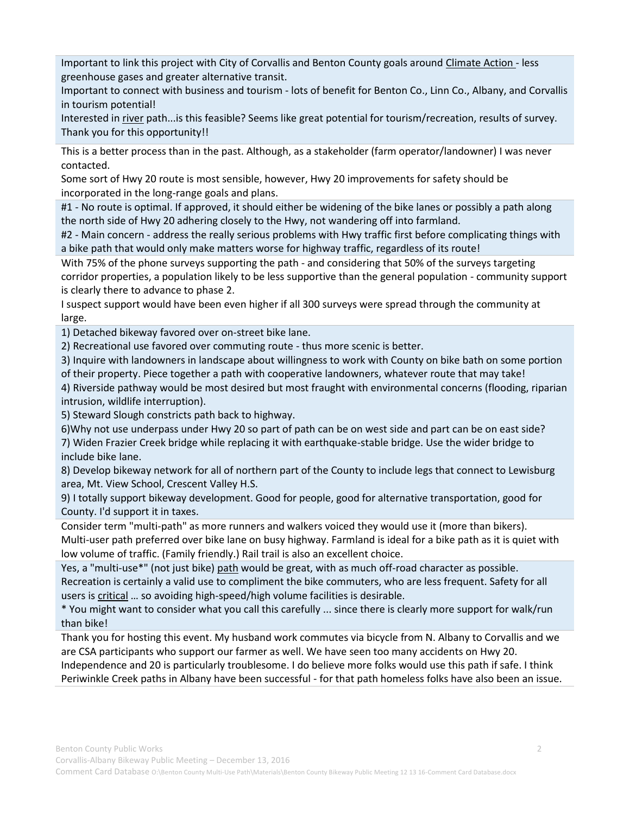Important to link this project with City of Corvallis and Benton County goals around Climate Action - less greenhouse gases and greater alternative transit.

Important to connect with business and tourism - lots of benefit for Benton Co., Linn Co., Albany, and Corvallis in tourism potential!

Interested in river path...is this feasible? Seems like great potential for tourism/recreation, results of survey. Thank you for this opportunity!!

This is a better process than in the past. Although, as a stakeholder (farm operator/landowner) I was never contacted.

Some sort of Hwy 20 route is most sensible, however, Hwy 20 improvements for safety should be incorporated in the long-range goals and plans.

#1 - No route is optimal. If approved, it should either be widening of the bike lanes or possibly a path along the north side of Hwy 20 adhering closely to the Hwy, not wandering off into farmland.

#2 - Main concern - address the really serious problems with Hwy traffic first before complicating things with a bike path that would only make matters worse for highway traffic, regardless of its route!

With 75% of the phone surveys supporting the path - and considering that 50% of the surveys targeting corridor properties, a population likely to be less supportive than the general population - community support is clearly there to advance to phase 2.

I suspect support would have been even higher if all 300 surveys were spread through the community at large.

1) Detached bikeway favored over on-street bike lane.

2) Recreational use favored over commuting route - thus more scenic is better.

3) Inquire with landowners in landscape about willingness to work with County on bike bath on some portion of their property. Piece together a path with cooperative landowners, whatever route that may take!

4) Riverside pathway would be most desired but most fraught with environmental concerns (flooding, riparian intrusion, wildlife interruption).

5) Steward Slough constricts path back to highway.

6)Why not use underpass under Hwy 20 so part of path can be on west side and part can be on east side? 7) Widen Frazier Creek bridge while replacing it with earthquake-stable bridge. Use the wider bridge to include bike lane.

8) Develop bikeway network for all of northern part of the County to include legs that connect to Lewisburg area, Mt. View School, Crescent Valley H.S.

9) I totally support bikeway development. Good for people, good for alternative transportation, good for County. I'd support it in taxes.

Consider term "multi-path" as more runners and walkers voiced they would use it (more than bikers). Multi-user path preferred over bike lane on busy highway. Farmland is ideal for a bike path as it is quiet with low volume of traffic. (Family friendly.) Rail trail is also an excellent choice.

Yes, a "multi-use\*" (not just bike) path would be great, with as much off-road character as possible. Recreation is certainly a valid use to compliment the bike commuters, who are less frequent. Safety for all users is critical … so avoiding high-speed/high volume facilities is desirable.

\* You might want to consider what you call this carefully ... since there is clearly more support for walk/run than bike!

Thank you for hosting this event. My husband work commutes via bicycle from N. Albany to Corvallis and we are CSA participants who support our farmer as well. We have seen too many accidents on Hwy 20. Independence and 20 is particularly troublesome. I do believe more folks would use this path if safe. I think Periwinkle Creek paths in Albany have been successful - for that path homeless folks have also been an issue.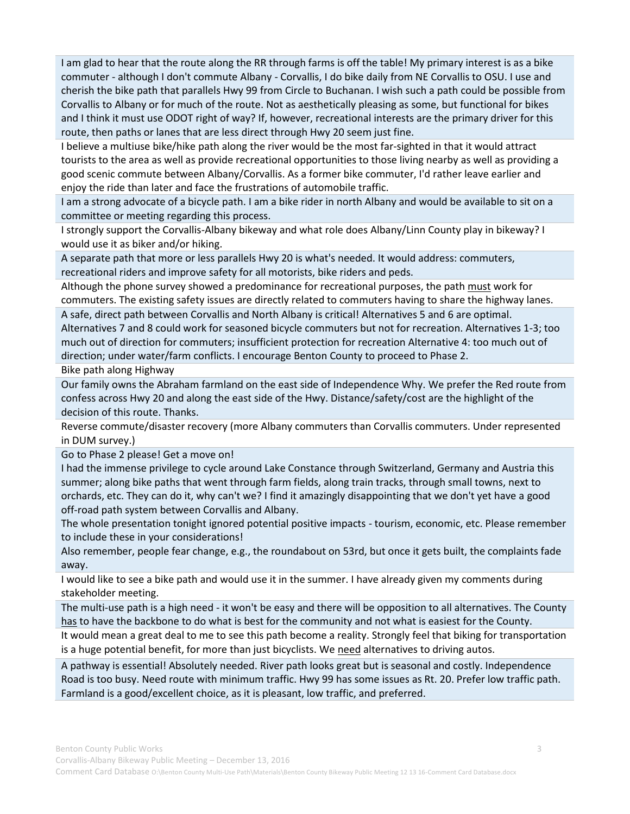I am glad to hear that the route along the RR through farms is off the table! My primary interest is as a bike commuter - although I don't commute Albany - Corvallis, I do bike daily from NE Corvallis to OSU. I use and cherish the bike path that parallels Hwy 99 from Circle to Buchanan. I wish such a path could be possible from Corvallis to Albany or for much of the route. Not as aesthetically pleasing as some, but functional for bikes and I think it must use ODOT right of way? If, however, recreational interests are the primary driver for this route, then paths or lanes that are less direct through Hwy 20 seem just fine.

I believe a multiuse bike/hike path along the river would be the most far-sighted in that it would attract tourists to the area as well as provide recreational opportunities to those living nearby as well as providing a good scenic commute between Albany/Corvallis. As a former bike commuter, I'd rather leave earlier and enjoy the ride than later and face the frustrations of automobile traffic.

I am a strong advocate of a bicycle path. I am a bike rider in north Albany and would be available to sit on a committee or meeting regarding this process.

I strongly support the Corvallis-Albany bikeway and what role does Albany/Linn County play in bikeway? I would use it as biker and/or hiking.

A separate path that more or less parallels Hwy 20 is what's needed. It would address: commuters, recreational riders and improve safety for all motorists, bike riders and peds.

Although the phone survey showed a predominance for recreational purposes, the path must work for commuters. The existing safety issues are directly related to commuters having to share the highway lanes.

A safe, direct path between Corvallis and North Albany is critical! Alternatives 5 and 6 are optimal. Alternatives 7 and 8 could work for seasoned bicycle commuters but not for recreation. Alternatives 1-3; too much out of direction for commuters; insufficient protection for recreation Alternative 4: too much out of direction; under water/farm conflicts. I encourage Benton County to proceed to Phase 2.

Bike path along Highway

Our family owns the Abraham farmland on the east side of Independence Why. We prefer the Red route from confess across Hwy 20 and along the east side of the Hwy. Distance/safety/cost are the highlight of the decision of this route. Thanks.

Reverse commute/disaster recovery (more Albany commuters than Corvallis commuters. Under represented in DUM survey.)

Go to Phase 2 please! Get a move on!

I had the immense privilege to cycle around Lake Constance through Switzerland, Germany and Austria this summer; along bike paths that went through farm fields, along train tracks, through small towns, next to orchards, etc. They can do it, why can't we? I find it amazingly disappointing that we don't yet have a good off-road path system between Corvallis and Albany.

The whole presentation tonight ignored potential positive impacts - tourism, economic, etc. Please remember to include these in your considerations!

Also remember, people fear change, e.g., the roundabout on 53rd, but once it gets built, the complaints fade away.

I would like to see a bike path and would use it in the summer. I have already given my comments during stakeholder meeting.

The multi-use path is a high need - it won't be easy and there will be opposition to all alternatives. The County has to have the backbone to do what is best for the community and not what is easiest for the County.

It would mean a great deal to me to see this path become a reality. Strongly feel that biking for transportation is a huge potential benefit, for more than just bicyclists. We need alternatives to driving autos.

A pathway is essential! Absolutely needed. River path looks great but is seasonal and costly. Independence Road is too busy. Need route with minimum traffic. Hwy 99 has some issues as Rt. 20. Prefer low traffic path. Farmland is a good/excellent choice, as it is pleasant, low traffic, and preferred.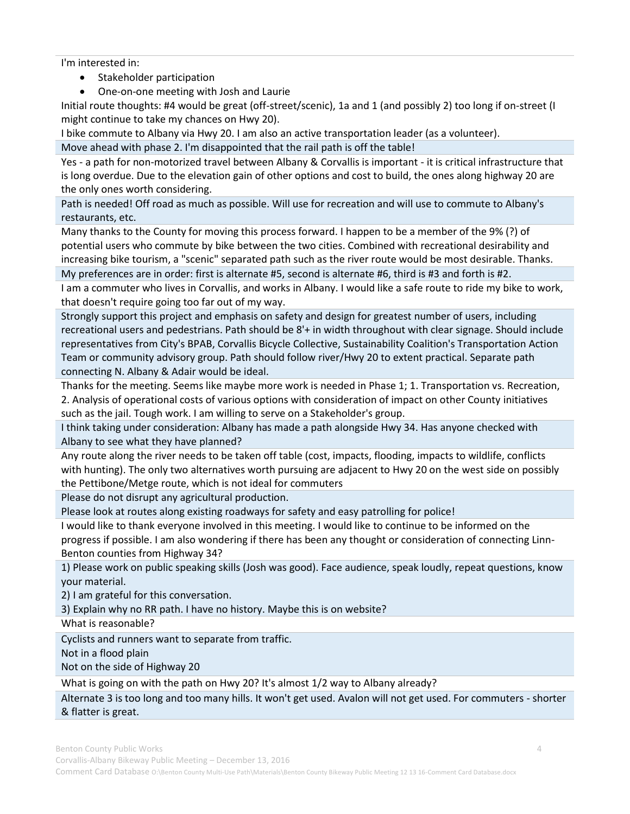I'm interested in:

- Stakeholder participation
- One-on-one meeting with Josh and Laurie

Initial route thoughts: #4 would be great (off-street/scenic), 1a and 1 (and possibly 2) too long if on-street (I might continue to take my chances on Hwy 20).

I bike commute to Albany via Hwy 20. I am also an active transportation leader (as a volunteer).

Move ahead with phase 2. I'm disappointed that the rail path is off the table!

Yes - a path for non-motorized travel between Albany & Corvallis is important - it is critical infrastructure that is long overdue. Due to the elevation gain of other options and cost to build, the ones along highway 20 are the only ones worth considering.

Path is needed! Off road as much as possible. Will use for recreation and will use to commute to Albany's restaurants, etc.

Many thanks to the County for moving this process forward. I happen to be a member of the 9% (?) of potential users who commute by bike between the two cities. Combined with recreational desirability and increasing bike tourism, a "scenic" separated path such as the river route would be most desirable. Thanks.

My preferences are in order: first is alternate #5, second is alternate #6, third is #3 and forth is #2.

I am a commuter who lives in Corvallis, and works in Albany. I would like a safe route to ride my bike to work, that doesn't require going too far out of my way.

Strongly support this project and emphasis on safety and design for greatest number of users, including recreational users and pedestrians. Path should be 8'+ in width throughout with clear signage. Should include representatives from City's BPAB, Corvallis Bicycle Collective, Sustainability Coalition's Transportation Action Team or community advisory group. Path should follow river/Hwy 20 to extent practical. Separate path connecting N. Albany & Adair would be ideal.

Thanks for the meeting. Seems like maybe more work is needed in Phase 1; 1. Transportation vs. Recreation, 2. Analysis of operational costs of various options with consideration of impact on other County initiatives such as the jail. Tough work. I am willing to serve on a Stakeholder's group.

I think taking under consideration: Albany has made a path alongside Hwy 34. Has anyone checked with Albany to see what they have planned?

Any route along the river needs to be taken off table (cost, impacts, flooding, impacts to wildlife, conflicts with hunting). The only two alternatives worth pursuing are adjacent to Hwy 20 on the west side on possibly the Pettibone/Metge route, which is not ideal for commuters

Please do not disrupt any agricultural production.

Please look at routes along existing roadways for safety and easy patrolling for police!

I would like to thank everyone involved in this meeting. I would like to continue to be informed on the progress if possible. I am also wondering if there has been any thought or consideration of connecting Linn-Benton counties from Highway 34?

1) Please work on public speaking skills (Josh was good). Face audience, speak loudly, repeat questions, know your material.

2) I am grateful for this conversation.

3) Explain why no RR path. I have no history. Maybe this is on website?

What is reasonable?

Cyclists and runners want to separate from traffic.

Not in a flood plain

Not on the side of Highway 20

What is going on with the path on Hwy 20? It's almost 1/2 way to Albany already?

Alternate 3 is too long and too many hills. It won't get used. Avalon will not get used. For commuters - shorter & flatter is great.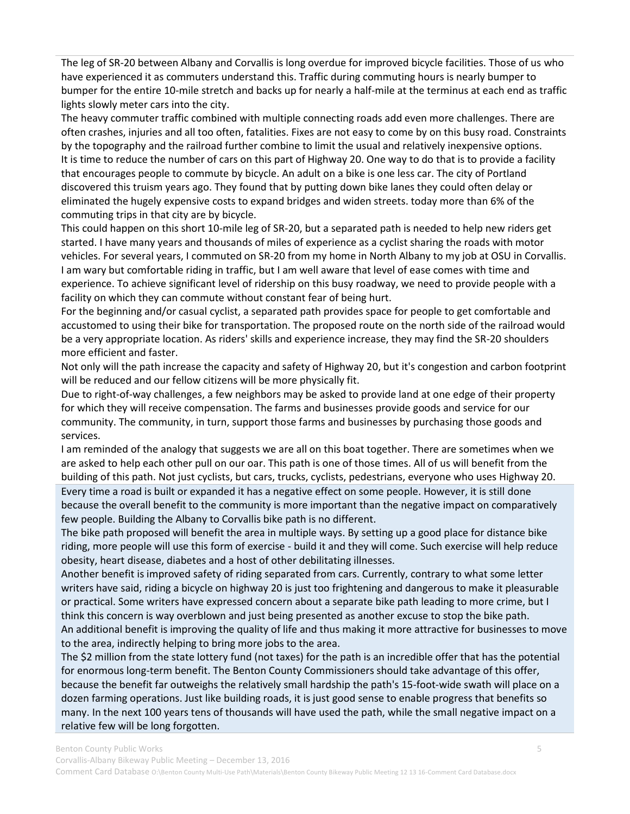The leg of SR-20 between Albany and Corvallis is long overdue for improved bicycle facilities. Those of us who have experienced it as commuters understand this. Traffic during commuting hours is nearly bumper to bumper for the entire 10-mile stretch and backs up for nearly a half-mile at the terminus at each end as traffic lights slowly meter cars into the city.

The heavy commuter traffic combined with multiple connecting roads add even more challenges. There are often crashes, injuries and all too often, fatalities. Fixes are not easy to come by on this busy road. Constraints by the topography and the railroad further combine to limit the usual and relatively inexpensive options. It is time to reduce the number of cars on this part of Highway 20. One way to do that is to provide a facility that encourages people to commute by bicycle. An adult on a bike is one less car. The city of Portland discovered this truism years ago. They found that by putting down bike lanes they could often delay or eliminated the hugely expensive costs to expand bridges and widen streets. today more than 6% of the commuting trips in that city are by bicycle.

This could happen on this short 10-mile leg of SR-20, but a separated path is needed to help new riders get started. I have many years and thousands of miles of experience as a cyclist sharing the roads with motor vehicles. For several years, I commuted on SR-20 from my home in North Albany to my job at OSU in Corvallis. I am wary but comfortable riding in traffic, but I am well aware that level of ease comes with time and experience. To achieve significant level of ridership on this busy roadway, we need to provide people with a facility on which they can commute without constant fear of being hurt.

For the beginning and/or casual cyclist, a separated path provides space for people to get comfortable and accustomed to using their bike for transportation. The proposed route on the north side of the railroad would be a very appropriate location. As riders' skills and experience increase, they may find the SR-20 shoulders more efficient and faster.

Not only will the path increase the capacity and safety of Highway 20, but it's congestion and carbon footprint will be reduced and our fellow citizens will be more physically fit.

Due to right-of-way challenges, a few neighbors may be asked to provide land at one edge of their property for which they will receive compensation. The farms and businesses provide goods and service for our community. The community, in turn, support those farms and businesses by purchasing those goods and services.

I am reminded of the analogy that suggests we are all on this boat together. There are sometimes when we are asked to help each other pull on our oar. This path is one of those times. All of us will benefit from the building of this path. Not just cyclists, but cars, trucks, cyclists, pedestrians, everyone who uses Highway 20. Every time a road is built or expanded it has a negative effect on some people. However, it is still done because the overall benefit to the community is more important than the negative impact on comparatively few people. Building the Albany to Corvallis bike path is no different.

The bike path proposed will benefit the area in multiple ways. By setting up a good place for distance bike riding, more people will use this form of exercise - build it and they will come. Such exercise will help reduce obesity, heart disease, diabetes and a host of other debilitating illnesses.

Another benefit is improved safety of riding separated from cars. Currently, contrary to what some letter writers have said, riding a bicycle on highway 20 is just too frightening and dangerous to make it pleasurable or practical. Some writers have expressed concern about a separate bike path leading to more crime, but I think this concern is way overblown and just being presented as another excuse to stop the bike path. An additional benefit is improving the quality of life and thus making it more attractive for businesses to move to the area, indirectly helping to bring more jobs to the area.

The \$2 million from the state lottery fund (not taxes) for the path is an incredible offer that has the potential for enormous long-term benefit. The Benton County Commissioners should take advantage of this offer, because the benefit far outweighs the relatively small hardship the path's 15-foot-wide swath will place on a dozen farming operations. Just like building roads, it is just good sense to enable progress that benefits so many. In the next 100 years tens of thousands will have used the path, while the small negative impact on a relative few will be long forgotten.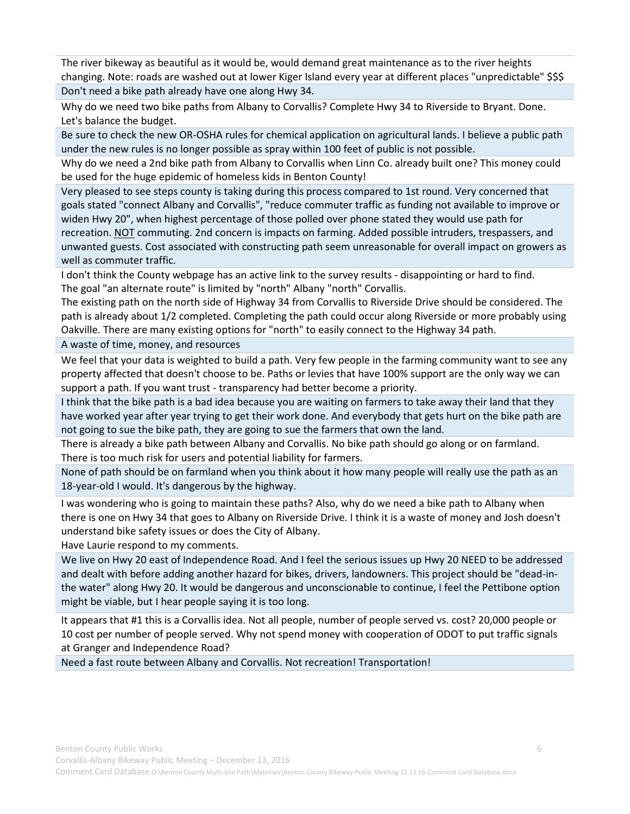The river bikeway as beautiful as it would be, would demand great maintenance as to the river heights changing. Note: roads are washed out at lower Kiger Island every year at different places "unpredictable" \$\$\$ Don't need a bike path already have one along Hwy 34.

Why do we need two bike paths from Albany to Corvallis? Complete Hwy 34 to Riverside to Bryant. Done. Let's balance the budget.

Be sure to check the new OR-OSHA rules for chemical application on agricultural lands. I believe a public path under the new rules is no longer possible as spray within 100 feet of public is not possible.

Why do we need a 2nd bike path from Albany to Corvallis when Linn Co. already built one? This money could be used for the huge epidemic of homeless kids in Benton County!

Very pleased to see steps county is taking during this process compared to 1st round. Very concerned that goals stated "connect Albany and Corvallis", "reduce commuter traffic as funding not available to improve or widen Hwy 20", when highest percentage of those polled over phone stated they would use path for recreation. NOT commuting. 2nd concern is impacts on farming. Added possible intruders, trespassers, and unwanted guests. Cost associated with constructing path seem unreasonable for overall impact on growers as well as commuter traffic.

I don't think the County webpage has an active link to the survey results - disappointing or hard to find. The goal "an alternate route" is limited by "north" Albany "north" Corvallis.

The existing path on the north side of Highway 34 from Corvallis to Riverside Drive should be considered. The path is already about 1/2 completed. Completing the path could occur along Riverside or more probably using Oakville. There are many existing options for "north" to easily connect to the Highway 34 path.

A waste of time, money, and resources

We feel that your data is weighted to build a path. Very few people in the farming community want to see any property affected that doesn't choose to be. Paths or levies that have 100% support are the only way we can support a path. If you want trust - transparency had better become a priority.

I think that the bike path is a bad idea because you are waiting on farmers to take away their land that they have worked year after year trying to get their work done. And everybody that gets hurt on the bike path are not going to sue the bike path, they are going to sue the farmers that own the land.

There is already a bike path between Albany and Corvallis. No bike path should go along or on farmland. There is too much risk for users and potential liability for farmers.

None of path should be on farmland when you think about it how many people will really use the path as an 18-year-old I would. It's dangerous by the highway.

I was wondering who is going to maintain these paths? Also, why do we need a bike path to Albany when there is one on Hwy 34 that goes to Albany on Riverside Drive. I think it is a waste of money and Josh doesn't understand bike safety issues or does the City of Albany.

Have Laurie respond to my comments.

We live on Hwy 20 east of Independence Road. And I feel the serious issues up Hwy 20 NEED to be addressed and dealt with before adding another hazard for bikes, drivers, landowners. This project should be "dead-inthe water" along Hwy 20. It would be dangerous and unconscionable to continue, I feel the Pettibone option might be viable, but I hear people saying it is too long.

It appears that #1 this is a Corvallis idea. Not all people, number of people served vs. cost? 20,000 people or 10 cost per number of people served. Why not spend money with cooperation of ODOT to put traffic signals at Granger and Independence Road?

Need a fast route between Albany and Corvallis. Not recreation! Transportation!